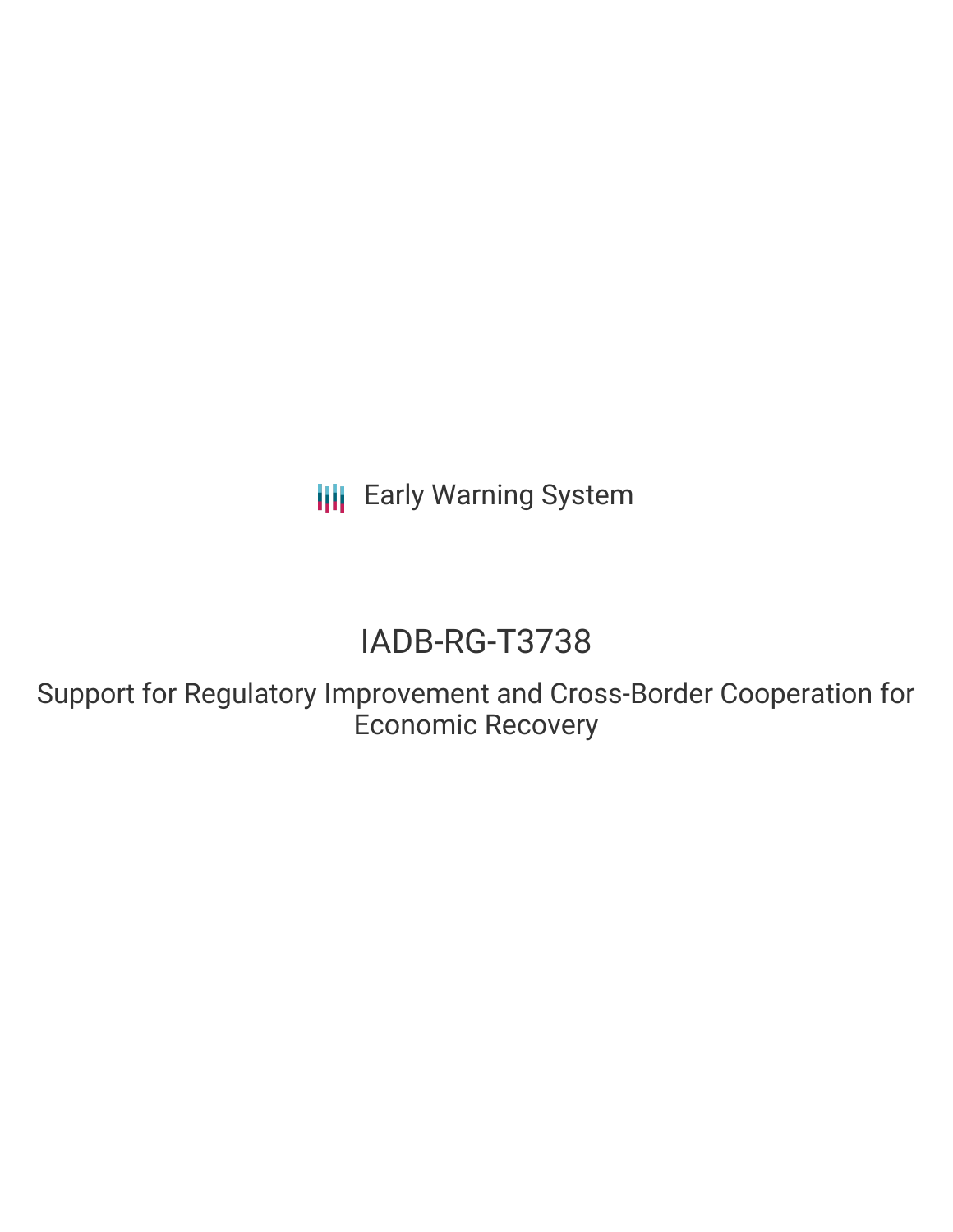**III** Early Warning System

# IADB-RG-T3738

Support for Regulatory Improvement and Cross-Border Cooperation for Economic Recovery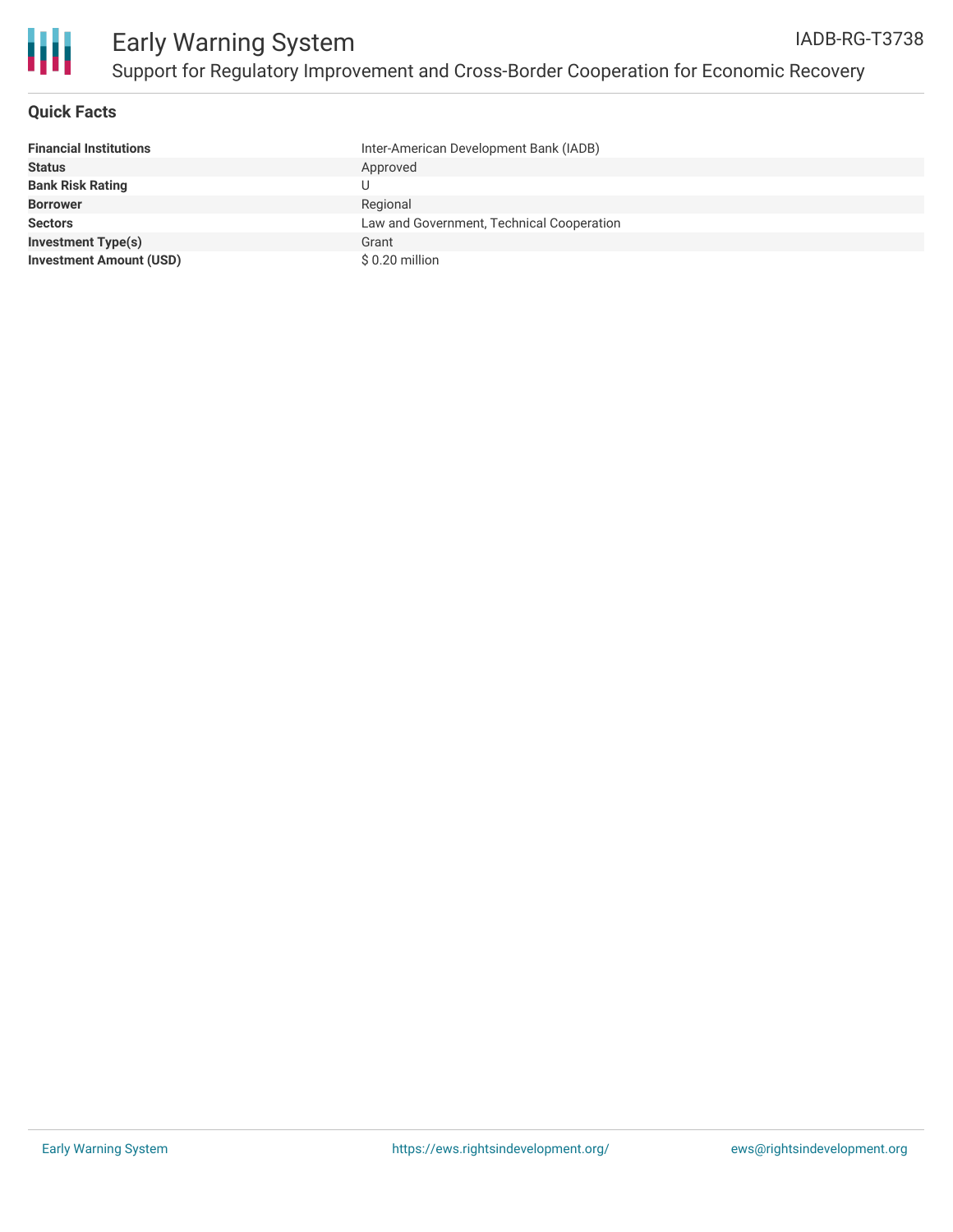

Ш

# **Quick Facts**

| <b>Financial Institutions</b>  | Inter-American Development Bank (IADB)    |
|--------------------------------|-------------------------------------------|
| <b>Status</b>                  | Approved                                  |
| <b>Bank Risk Rating</b>        |                                           |
| <b>Borrower</b>                | Regional                                  |
| <b>Sectors</b>                 | Law and Government, Technical Cooperation |
| <b>Investment Type(s)</b>      | Grant                                     |
| <b>Investment Amount (USD)</b> | \$0.20 million                            |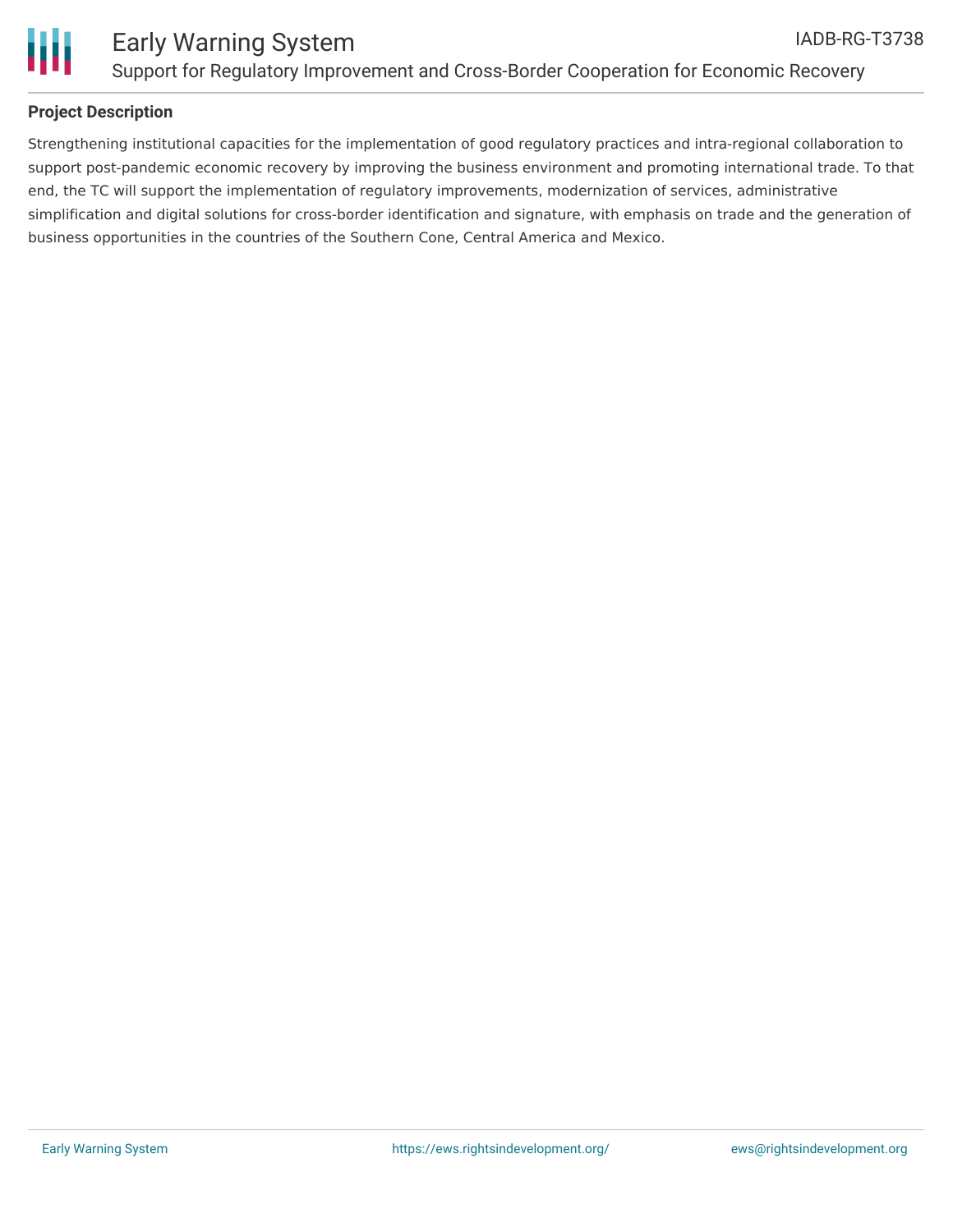

### **Project Description**

Strengthening institutional capacities for the implementation of good regulatory practices and intra-regional collaboration to support post-pandemic economic recovery by improving the business environment and promoting international trade. To that end, the TC will support the implementation of regulatory improvements, modernization of services, administrative simplification and digital solutions for cross-border identification and signature, with emphasis on trade and the generation of business opportunities in the countries of the Southern Cone, Central America and Mexico.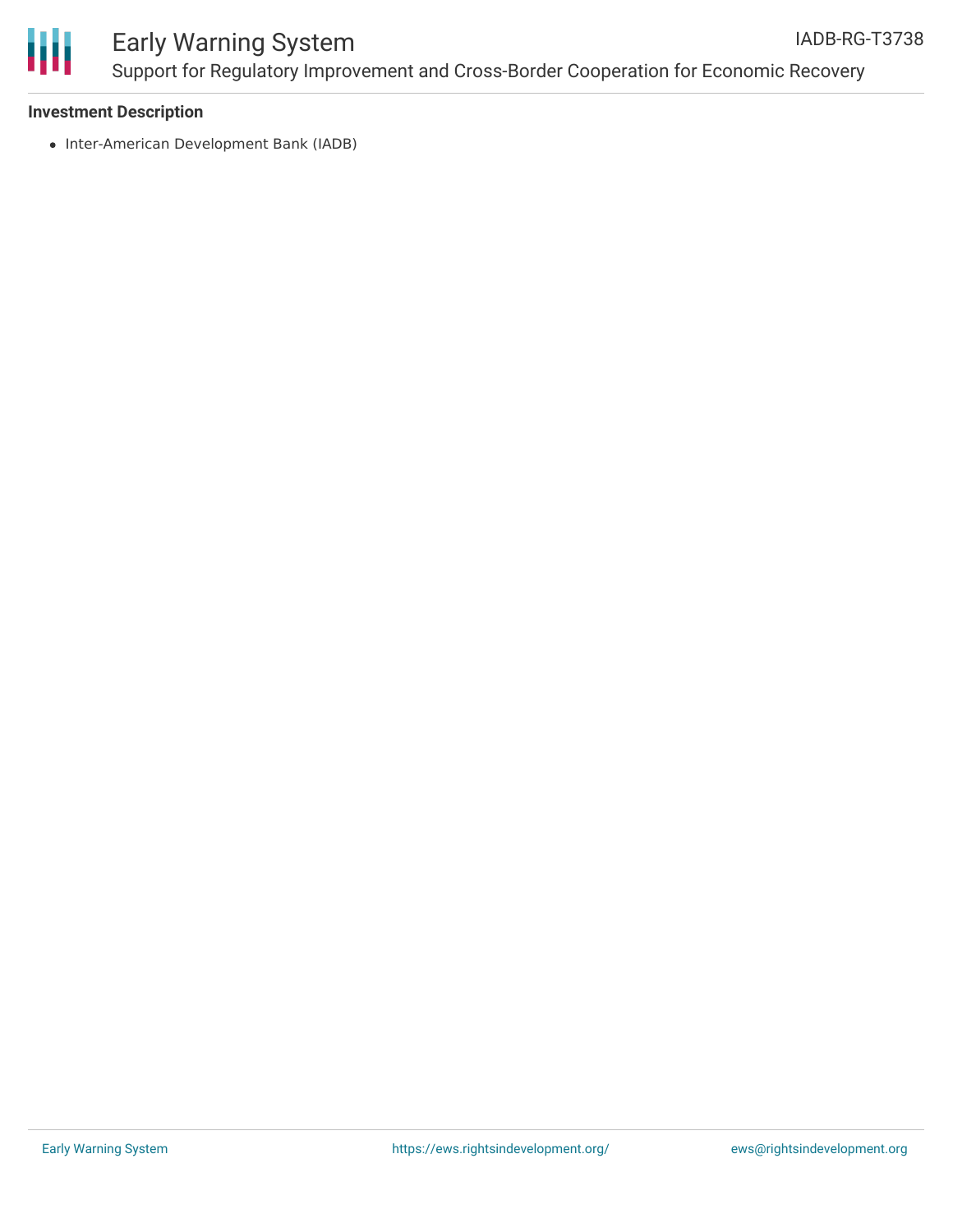

#### Early Warning System Support for Regulatory Improvement and Cross-Border Cooperation for Economic Recovery IADB-RG-T3738

#### **Investment Description**

• Inter-American Development Bank (IADB)